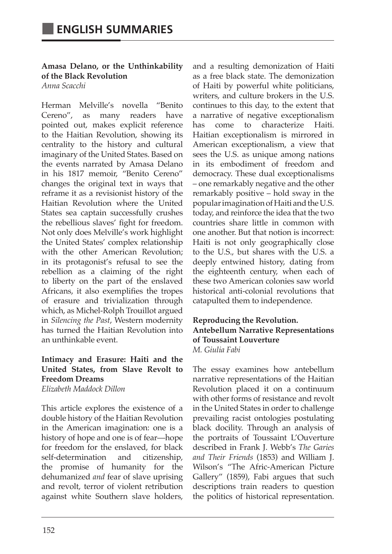**Amasa Delano, or the Unthinkability of the Black Revolution** *Anna Scacchi*

Herman Melville's novella "Benito Cereno", as many readers have pointed out, makes explicit reference to the Haitian Revolution, showing its centrality to the history and cultural imaginary of the United States. Based on the events narrated by Amasa Delano in his 1817 memoir, "Benito Cereno" changes the original text in ways that reframe it as a revisionist history of the Haitian Revolution where the United States sea captain successfully crushes the rebellious slaves' fight for freedom. Not only does Melville's work highlight the United States' complex relationship with the other American Revolution; in its protagonist's refusal to see the rebellion as a claiming of the right to liberty on the part of the enslaved Africans, it also exemplifies the tropes of erasure and trivialization through which, as Michel-Rolph Trouillot argued in *Silencing the Past*, Western modernity has turned the Haitian Revolution into an unthinkable event.

# **Intimacy and Erasure: Haiti and the United States, from Slave Revolt to Freedom Dreams**

*Elizabeth Maddock Dillon*

This article explores the existence of a double history of the Haitian Revolution in the American imagination: one is a history of hope and one is of fear—hope for freedom for the enslaved, for black self-determination and citizenship, the promise of humanity for the dehumanized *and* fear of slave uprising and revolt, terror of violent retribution against white Southern slave holders,

and a resulting demonization of Haiti as a free black state. The demonization of Haiti by powerful white politicians, writers, and culture brokers in the U.S. continues to this day, to the extent that a narrative of negative exceptionalism has come to characterize Haiti. Haitian exceptionalism is mirrored in American exceptionalism, a view that sees the U.S. as unique among nations in its embodiment of freedom and democracy. These dual exceptionalisms – one remarkably negative and the other remarkably positive – hold sway in the popular imagination of Haiti and the U.S. today, and reinforce the idea that the two countries share little in common with one another. But that notion is incorrect: Haiti is not only geographically close to the U.S., but shares with the U.S. a deeply entwined history, dating from the eighteenth century, when each of these two American colonies saw world historical anti-colonial revolutions that catapulted them to independence.

#### **Reproducing the Revolution. Antebellum Narrative Representations of Toussaint Louverture**  *M. Giulia Fabi*

The essay examines how antebellum narrative representations of the Haitian Revolution placed it on a continuum with other forms of resistance and revolt in the United States in order to challenge prevailing racist ontologies postulating black docility. Through an analysis of the portraits of Toussaint L'Ouverture described in Frank J. Webb's *The Garies and Their Friends* (1853) and William J. Wilson's "The Afric-American Picture Gallery" (1859), Fabi argues that such descriptions train readers to question the politics of historical representation.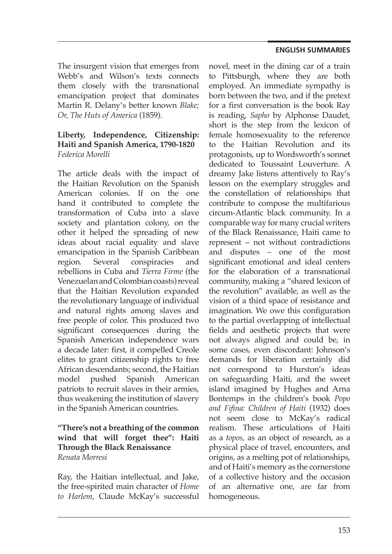The insurgent vision that emerges from Webb's and Wilson's texts connects them closely with the transnational emancipation project that dominates Martin R. Delany's better known *Blake; Or, The Huts of America* (1859).

## **Liberty, Independence, Citizenship: Haiti and Spanish America, 1790-1820**  *Federica Morelli*

The article deals with the impact of the Haitian Revolution on the Spanish American colonies. If on the one hand it contributed to complete the transformation of Cuba into a slave society and plantation colony, on the other it helped the spreading of new ideas about racial equality and slave emancipation in the Spanish Caribbean region. Several conspiracies and rebellions in Cuba and *Tierra Firme* (the Venezuelan and Colombian coasts) reveal that the Haitian Revolution expanded the revolutionary language of individual and natural rights among slaves and free people of color. This produced two significant consequences during the Spanish American independence wars a decade later: first, it compelled Creole elites to grant citizenship rights to free African descendants; second, the Haitian model pushed Spanish American patriots to recruit slaves in their armies, thus weakening the institution of slavery in the Spanish American countries.

## **"There's not a breathing of the common wind that will forget thee": Haiti Through the Black Renaissance** *Renata Morresi*

Ray, the Haitian intellectual, and Jake, the free-spirited main character of *Home to Harlem*, Claude McKay's successful novel, meet in the dining car of a train to Pittsburgh, where they are both employed. An immediate sympathy is born between the two, and if the pretext for a first conversation is the book Ray is reading, *Sapho* by Alphonse Daudet, short is the step from the lexicon of female homosexuality to the reference to the Haitian Revolution and its protagonists, up to Wordsworth's sonnet dedicated to Toussaint Louverture. A dreamy Jake listens attentively to Ray's lesson on the exemplary struggles and the constellation of relationships that contribute to compose the multifarious circum-Atlantic black community. In a comparable way for many crucial writers of the Black Renaissance, Haiti came to represent – not without contradictions and disputes – one of the most significant emotional and ideal centers for the elaboration of a transnational community, making a "shared lexicon of the revolution" available, as well as the vision of a third space of resistance and imagination. We owe this configuration to the partial overlapping of intellectual fields and aesthetic projects that were not always aligned and could be, in some cases, even discordant: Johnson's demands for liberation certainly did not correspond to Hurston's ideas on safeguarding Haiti, and the sweet island imagined by Hughes and Arna Bontemps in the children's book *Popo and Fifina: Children of Haiti* (1932) does not seem close to McKay's radical realism. These articulations of Haiti as a *topos*, as an object of research, as a physical place of travel, encounters, and origins, as a melting pot of relationships, and of Haiti's memory as the cornerstone of a collective history and the occasion of an alternative one, are far from homogeneous.